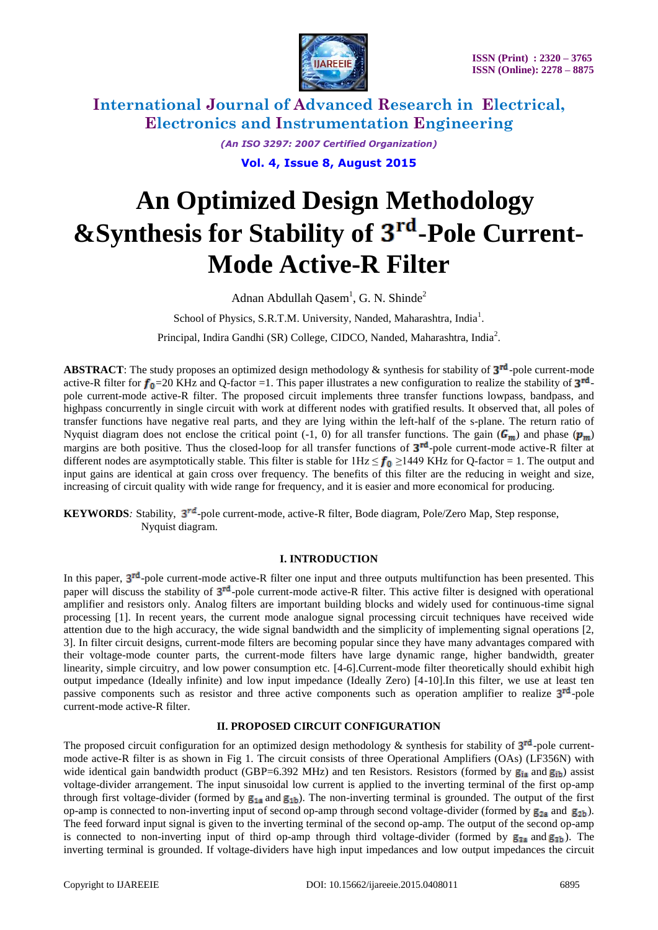

> *(An ISO 3297: 2007 Certified Organization)* **Vol. 4, Issue 8, August 2015**

# **An Optimized Design Methodology** &Synthesis for Stability of 3<sup>rd</sup>-Pole Current-**Mode Active-R Filter**

Adnan Abdullah Qasem<sup>1</sup>, G. N. Shinde<sup>2</sup>

School of Physics, S.R.T.M. University, Nanded, Maharashtra, India<sup>1</sup>.

Principal, Indira Gandhi (SR) College, CIDCO, Nanded, Maharashtra, India<sup>2</sup>.

**ABSTRACT**: The study proposes an optimized design methodology  $\&$  synthesis for stability of  $3^{rd}$ -pole current-mode active-R filter for  $f_0$ =20 KHz and Q-factor =1. This paper illustrates a new configuration to realize the stability of  $3^{rd}$ . pole current-mode active-R filter. The proposed circuit implements three transfer functions lowpass, bandpass, and highpass concurrently in single circuit with work at different nodes with gratified results. It observed that, all poles of transfer functions have negative real parts, and they are lying within the left-half of the s-plane. The return ratio of Nyquist diagram does not enclose the critical point (-1, 0) for all transfer functions. The gain ( $G_m$ ) and phase ( $p_m$ ) margins are both positive. Thus the closed-loop for all transfer functions of  $3<sup>rd</sup>$ -pole current-mode active-R filter at different nodes are asymptotically stable. This filter is stable for  $1Hz \le f_0 \ge 1449$  KHz for Q-factor = 1. The output and input gains are identical at gain cross over frequency. The benefits of this filter are the reducing in weight and size, increasing of circuit quality with wide range for frequency, and it is easier and more economical for producing.

**KEYWORDS**: Stability, 3<sup>rd</sup>-pole current-mode, active-R filter, Bode diagram, Pole/Zero Map, Step response, Nyquist diagram.

### **I. INTRODUCTION**

In this paper,  $3<sup>rd</sup>$ -pole current-mode active-R filter one input and three outputs multifunction has been presented. This paper will discuss the stability of  $3^{rd}$ -pole current-mode active-R filter. This active filter is designed with operational amplifier and resistors only. Analog filters are important building blocks and widely used for continuous-time signal processing [1]. In recent years, the current mode analogue signal processing circuit techniques have received wide attention due to the high accuracy, the wide signal bandwidth and the simplicity of implementing signal operations [2, 3]. In filter circuit designs, current-mode filters are becoming popular since they have many advantages compared with their voltage-mode counter parts, the current-mode filters have large dynamic range, higher bandwidth, greater linearity, simple circuitry, and low power consumption etc. [4-6].Current-mode filter theoretically should exhibit high output impedance (Ideally infinite) and low input impedance (Ideally Zero) [4-10].In this filter, we use at least ten passive components such as resistor and three active components such as operation amplifier to realize  $3<sup>rd</sup>$ -pole current-mode active-R filter.

# **II. PROPOSED CIRCUIT CONFIGURATION**

The proposed circuit configuration for an optimized design methodology & synthesis for stability of  $3^{rd}$ -pole currentmode active-R filter is as shown in Fig 1. The circuit consists of three Operational Amplifiers (OAs) (LF356N) with wide identical gain bandwidth product (GBP=6.392 MHz) and ten Resistors. Resistors (formed by  $g_{ia}$  and  $g_{ib}$ ) assist voltage-divider arrangement. The input sinusoidal low current is applied to the inverting terminal of the first op-amp through first voltage-divider (formed by  $g_{1a}$  and  $g_{1b}$ ). The non-inverting terminal is grounded. The output of the first op-amp is connected to non-inverting input of second op-amp through second voltage-divider (formed by  $g_{2a}$  and  $g_{2b}$ ). The feed forward input signal is given to the inverting terminal of the second op-amp. The output of the second op-amp is connected to non-inverting input of third op-amp through third voltage-divider (formed by  $g_{2a}$  and  $g_{3b}$ ). The inverting terminal is grounded. If voltage-dividers have high input impedances and low output impedances the circuit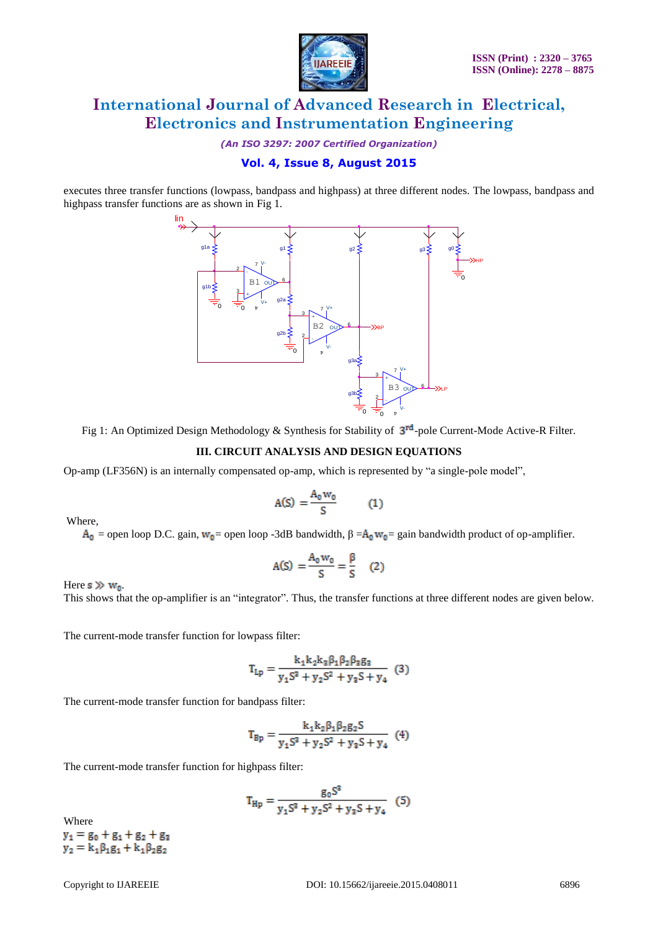

*(An ISO 3297: 2007 Certified Organization)*

# **Vol. 4, Issue 8, August 2015**

executes three transfer functions (lowpass, bandpass and highpass) at three different nodes. The lowpass, bandpass and highpass transfer functions are as shown in Fig 1.



Fig 1: An Optimized Design Methodology & Synthesis for Stability of  $3^{rd}$ -pole Current-Mode Active-R Filter.

### **III. CIRCUIT ANALYSIS AND DESIGN EQUATIONS**

Op-amp (LF356N) is an internally compensated op-amp, which is represented by "a single-pole model",

$$
A(S) = \frac{A_0 w_0}{S} \tag{1}
$$

Where,

 $A_0$  = open loop D.C. gain,  $w_0$ = open loop -3dB bandwidth,  $\beta = A_0 w_0$ = gain bandwidth product of op-amplifier.

$$
A(S) = \frac{A_0 w_0}{S} = \frac{\beta}{S} \quad (2)
$$

Here  $s \gg w_0$ .

This shows that the op-amplifier is an "integrator". Thus, the transfer functions at three different nodes are given below.

The current-mode transfer function for lowpass filter:

$$
T_{Lp} = \frac{k_1 k_2 k_3 \beta_1 \beta_2 \beta_3 g_3}{y_1 S^3 + y_2 S^2 + y_3 S + y_4}
$$
 (3)

The current-mode transfer function for bandpass filter:

$$
T_{\rm Bp} = \frac{k_1 k_2 \beta_1 \beta_2 g_2 S}{y_1 S^3 + y_2 S^2 + y_3 S + y_4} \tag{4}
$$

The current-mode transfer function for highpass filter:

$$
T_{\rm Hp} = \frac{g_0 S^3}{y_1 S^3 + y_2 S^2 + y_3 S + y_4} \quad (5)
$$

Where  $y_1 = g_0 + g_1 + g_2 + g_3$  $y_2 = k_1 \beta_1 g_1 + k_1 \beta_2 g_2$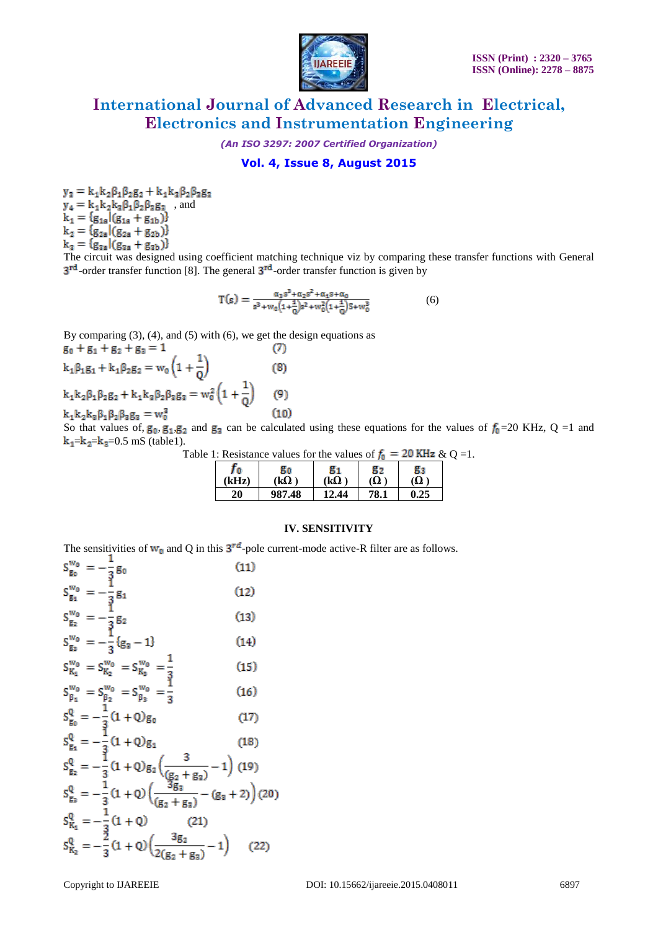

*(An ISO 3297: 2007 Certified Organization)*

# **Vol. 4, Issue 8, August 2015**

 $y_3 = k_1k_2\beta_1\beta_2g_2 + k_1k_3\beta_2\beta_3g_3$  $\mathbf{y}_4 = \mathbf{k}_1 \mathbf{k}_2 \mathbf{k}_3 \boldsymbol{\beta}_1 \boldsymbol{\beta}_2 \boldsymbol{\beta}_3 \mathbf{g}_3$  , and  $k_1 = {g_{1a}|(g_{1a} + g_{1b})}$  $k_2 = {g_{2a}|(g_{2a} + g_{2b})}$ 

 $\mathbf{k}_3 = \frac{\mathbf{G}\cdot\mathbf{G}\cdot\mathbf{G}}{\mathbf{g}_{3a} + \mathbf{g}_{3b}}$ <br>The circuit was designed using coefficient matching technique viz by comparing these transfer functions with General  $3^{rd}$ -order transfer function [8]. The general  $3^{rd}$ -order transfer function is given by

$$
T(s) = \frac{\alpha_3 s^3 + \alpha_2 s^2 + \alpha_4 s + \alpha_0}{s^3 + w_0 \left(1 + \frac{1}{Q}\right) s^2 + w_0^2 \left(1 + \frac{1}{Q}\right) S + w_0^3}
$$
(6)

By comparing  $(3)$ ,  $(4)$ , and  $(5)$  with  $(6)$ , we get the design equations as  $g_0 + g_1 + g_2 + g_3 = 1$  $(7)$ 

 $k_1\beta_1g_1 + k_1\beta_2g_2 = w_0\left(1 + \frac{1}{Q}\right)$  $(8)$  $\mathbf{k}_1\mathbf{k}_2\boldsymbol{\beta}_1\boldsymbol{\beta}_2\mathbf{g}_2+\mathbf{k}_1\mathbf{k}_3\boldsymbol{\beta}_2\boldsymbol{\beta}_3\mathbf{g}_3=\mathbf{w}_0^2\left(1+\frac{1}{Q}\right)$  $(9)$  $(10)$ 

 $\mathbf{k}_1\mathbf{k}_2\mathbf{k}_3\beta_1\beta_2\beta_3\mathbf{g}_3=\mathbf{w}_0^3$ 

 $\sim$ 

So that values of,  $g_0$ ,  $g_1$ ,  $g_2$  and  $g_3$  can be calculated using these equations for the values of  $f_0$ =20 KHz, Q =1 and  $k_1 = k_2 = k_3 = 0.5$  mS (table1).

| Table 1: Resistance values for the values of $f_0 = 20$ KHz & Q =1. |  |  |
|---------------------------------------------------------------------|--|--|
|---------------------------------------------------------------------|--|--|

| 70                                                 | 80     | 81          | 82   | 83  |
|----------------------------------------------------|--------|-------------|------|-----|
| $\langle \mathbf{F} \mathbf{H} \mathbf{z} \rangle$ | kΩ     | $(k\Omega)$ | Ω)   | (Ω  |
| 20                                                 | 987.48 | 12.44       | 78.1 | .25 |

#### **IV. SENSITIVITY**

The sensitivities of  $w_0$  and Q in this  $3^{rd}$ -pole current-mode active-R filter are as follows.

$$
S_{g_0}^{w_0} = -\frac{1}{3}g_0
$$
(11)  
\n
$$
S_{g_1}^{w_0} = -\frac{1}{3}g_1
$$
(12)  
\n
$$
S_{g_2}^{w_0} = -\frac{1}{3}g_2
$$
(13)  
\n
$$
S_{g_3}^{w_0} = -\frac{1}{3}(g_3 - 1)
$$
(14)  
\n
$$
S_{K_1}^{w_0} = S_{K_2}^{w_0} = S_{K_3}^{w_0} = \frac{1}{3}
$$
(15)  
\n
$$
S_{g_1}^{w_0} = S_{g_1}^{w_0} = S_{g_2}^{w_0} = \frac{1}{3}
$$
(16)  
\n
$$
S_{g_0}^{Q} = -\frac{1}{3}(1 + Q)g_0
$$
(17)  
\n
$$
S_{g_1}^{Q} = -\frac{1}{3}(1 + Q)g_1
$$
(18)  
\n
$$
S_{g_2}^{Q} = -\frac{1}{3}(1 + Q)g_2(\frac{3}{(g_2 + g_3)} - 1)
$$
(19)  
\n
$$
S_{g_3}^{Q} = -\frac{1}{3}(1 + Q)(\frac{3g_3}{(g_2 + g_3)} - (g_3 + 2))
$$
(20)  
\n
$$
S_{K_1}^{Q} = -\frac{1}{3}(1 + Q)(\frac{3g_2}{2(g_2 + g_3)} - 1)
$$
(22)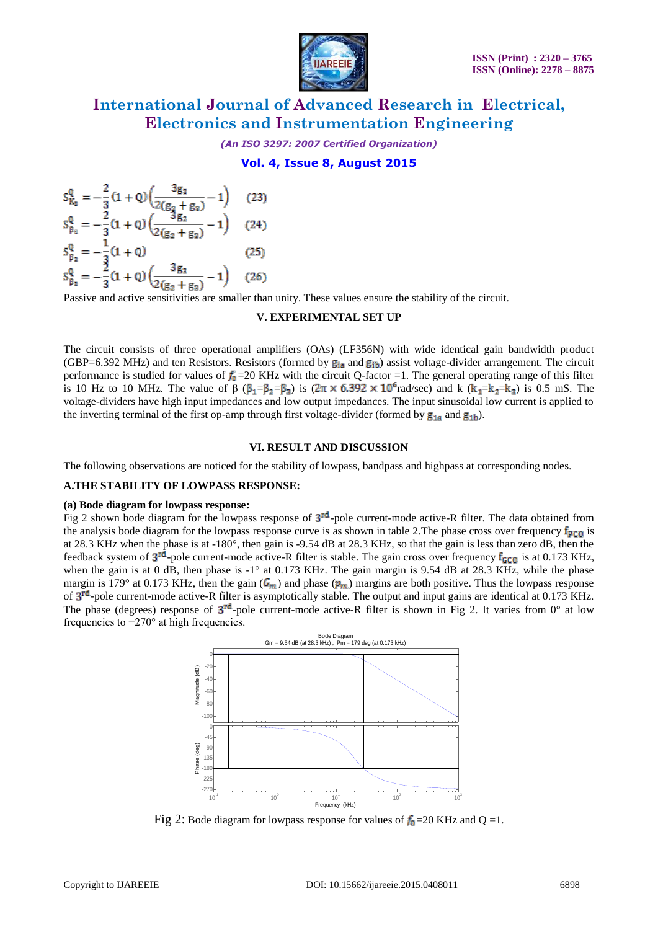

*(An ISO 3297: 2007 Certified Organization)*

**Vol. 4, Issue 8, August 2015**

$$
S_{K_3}^Q = -\frac{2}{3} (1 + Q) \left( \frac{3g_3}{2(g_2 + g_3)} - 1 \right) \quad (23)
$$
  
\n
$$
S_{\beta_1}^Q = -\frac{2}{3} (1 + Q) \left( \frac{3g_2}{2(g_2 + g_3)} - 1 \right) \quad (24)
$$
  
\n
$$
S_{\beta_2}^Q = -\frac{1}{3} (1 + Q) \quad (25)
$$
  
\n
$$
S_{\beta_3}^Q = -\frac{2}{3} (1 + Q) \left( \frac{3g_3}{2(g_2 + g_3)} - 1 \right) \quad (26)
$$
  
\nDensity and with any amplitude

Passive and active sensitivities are smaller than unity. These values ensure the stability of the circuit.

#### **V. EXPERIMENTAL SET UP**

The circuit consists of three operational amplifiers (OAs) (LF356N) with wide identical gain bandwidth product (GBP=6.392 MHz) and ten Resistors. Resistors (formed by  $g_{ia}$  and  $g_{ib}$ ) assist voltage-divider arrangement. The circuit performance is studied for values of  $f_0$ =20 KHz with the circuit Q-factor =1. The general operating range of this filter is 10 Hz to 10 MHz. The value of  $\beta$  ( $\beta_1 = \beta_2 = \beta_3$ ) is  $(2\pi \times 6.392 \times 10^6 \text{ rad/sec})$  and k  $(k_1 = k_2 = k_3)$  is 0.5 mS. The voltage-dividers have high input impedances and low output impedances. The input sinusoidal low current is applied to the inverting terminal of the first op-amp through first voltage-divider (formed by  $g_{1a}$  and  $g_{1b}$ ).

### **VI. RESULT AND DISCUSSION**

The following observations are noticed for the stability of lowpass, bandpass and highpass at corresponding nodes.

#### **A.THE STABILITY OF LOWPASS RESPONSE:**

#### **(a) Bode diagram for lowpass response:**

Fig 2 shown bode diagram for the lowpass response of  $3<sup>rd</sup>$ -pole current-mode active-R filter. The data obtained from the analysis bode diagram for the lowpass response curve is as shown in table 2. The phase cross over frequency  $f_{p_0}$  is at 28.3 KHz when the phase is at -180°, then gain is -9.54 dB at 28.3 KHz, so that the gain is less than zero dB, then the feedback system of  $3^{rd}$ -pole current-mode active-R filter is stable. The gain cross over frequency  $f_{GCD}$  is at 0.173 KHz, when the gain is at 0 dB, then phase is -1° at 0.173 KHz. The gain margin is 9.54 dB at 28.3 KHz, while the phase margin is 179° at 0.173 KHz, then the gain ( $G_m$ ) and phase ( $p_m$ ) margins are both positive. Thus the lowpass response of 3<sup>rd</sup>-pole current-mode active-R filter is asymptotically stable. The output and input gains are identical at 0.173 KHz. The phase (degrees) response of  $3^{rd}$ -pole current-mode active-R filter is shown in Fig 2. It varies from 0° at low frequencies to −270° at high frequencies.



Fig 2: Bode diagram for lowpass response for values of  $f_0$ =20 KHz and Q =1.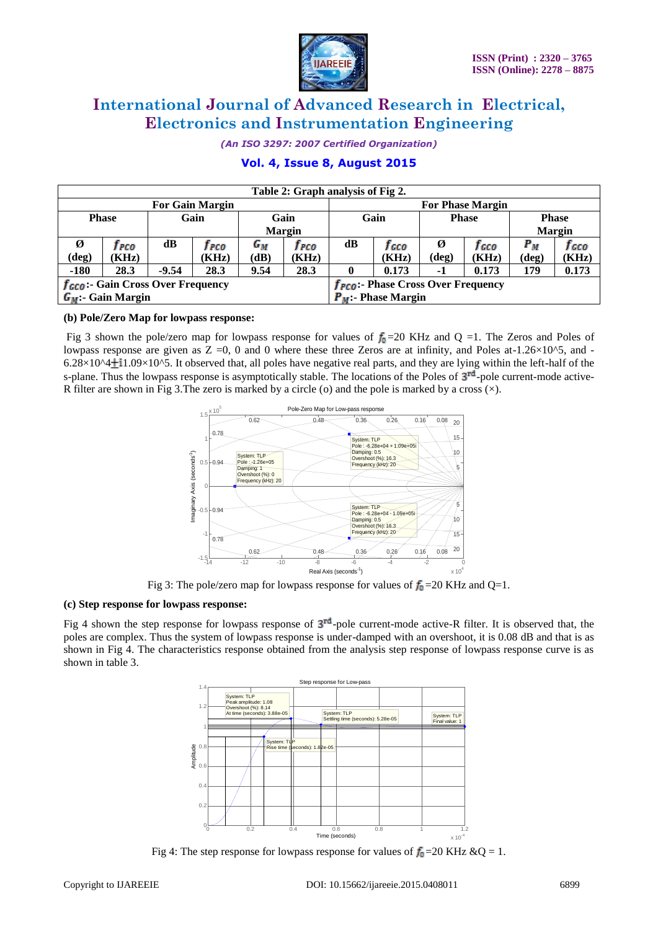

*(An ISO 3297: 2007 Certified Organization)*

# **Vol. 4, Issue 8, August 2015**

| Table 2: Graph analysis of Fig 2.            |       |         |       |               |                                         |              |       |              |       |            |       |  |  |  |               |
|----------------------------------------------|-------|---------|-------|---------------|-----------------------------------------|--------------|-------|--------------|-------|------------|-------|--|--|--|---------------|
| <b>For Gain Margin</b>                       |       |         |       |               | <b>For Phase Margin</b>                 |              |       |              |       |            |       |  |  |  |               |
| <b>Phase</b><br>Gain                         |       | Gain    |       | Gain          |                                         | <b>Phase</b> |       | <b>Phase</b> |       |            |       |  |  |  |               |
|                                              |       |         |       | <b>Margin</b> |                                         |              |       |              |       |            |       |  |  |  | <b>Margin</b> |
| Ø                                            | I PCO | dB      | T PCO | $G_M$         | 1 рсо                                   | dB           | f cco | Ø            | I cco | $\bm{P}_M$ | J GCO |  |  |  |               |
| (deg)                                        | (KHz) |         | (KHz) | (dB)          | (KHz)                                   |              | (KHz) | (deg)        | (KHz) | (deg)      | (KHz) |  |  |  |               |
| $-180$                                       | 28.3  | $-9.54$ | 28.3  | 9.54          | 28.3                                    |              | 0.173 | $-1$         | 0.173 | 179        | 0.173 |  |  |  |               |
| $f_{\text{GCO}}$ : Gain Cross Over Frequency |       |         |       |               | $f_{PC0}$ :- Phase Cross Over Frequency |              |       |              |       |            |       |  |  |  |               |
| $G_M$ :- Gain Margin                         |       |         |       |               | $P_M$ :- Phase Margin                   |              |       |              |       |            |       |  |  |  |               |

### **(b) Pole/Zero Map for lowpass response:**

Fig 3 shown the pole/zero map for lowpass response for values of  $f_0 = 20$  KHz and Q =1. The Zeros and Poles of lowpass response are given as  $Z = 0$ , 0 and 0 where these three Zeros are at infinity, and Poles at-1.26×10^5, and - $6.28\times10^{4}$  1.09×10^5. It observed that, all poles have negative real parts, and they are lying within the left-half of the s-plane. Thus the lowpass response is asymptotically stable. The locations of the Poles of  $3<sup>rd</sup>$ -pole current-mode active-R filter are shown in Fig 3. The zero is marked by a circle (o) and the pole is marked by a cross  $(\times)$ .



Fig 3: The pole/zero map for lowpass response for values of  $f_0 = 20$  KHz and Q=1.

#### **(c) Step response for lowpass response:**

Fig 4 shown the step response for lowpass response of  $3<sup>rd</sup>$ -pole current-mode active-R filter. It is observed that, the poles are complex. Thus the system of lowpass response is under-damped with an overshoot, it is 0.08 dB and that is as shown in Fig 4. The characteristics response obtained from the analysis step response of lowpass response curve is as shown in table 3.



Fig 4: The step response for lowpass response for values of  $f_0 = 20$  KHz &Q = 1.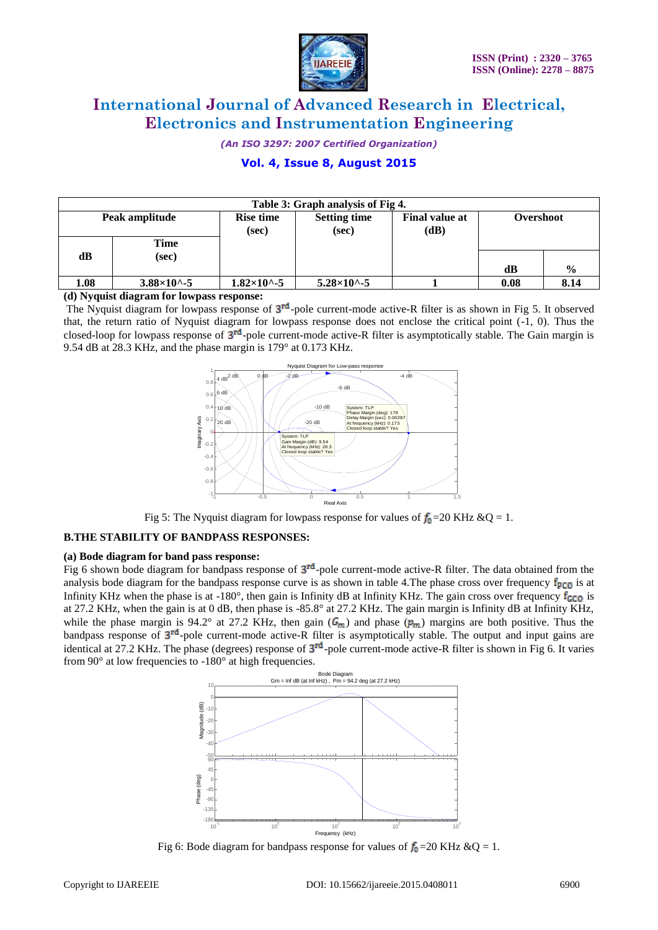

*(An ISO 3297: 2007 Certified Organization)*

# **Vol. 4, Issue 8, August 2015**

| Table 3: Graph analysis of Fig 4. |                          |                           |                              |                               |           |               |  |  |  |
|-----------------------------------|--------------------------|---------------------------|------------------------------|-------------------------------|-----------|---------------|--|--|--|
| Peak amplitude                    |                          | <b>Rise time</b><br>(sec) | <b>Setting time</b><br>(sec) | <b>Final value at</b><br>(dB) | Overshoot |               |  |  |  |
| dB                                | Time<br>(sec)            |                           |                              |                               | dB        | $\frac{0}{0}$ |  |  |  |
| 1.08                              | $3.88 \times 10^{4} - 5$ | $1.82\times10^{6} - 5$    | $5.28\times10^{6} - 5$       |                               | 0.08      | 8.14          |  |  |  |

**(d) Nyquist diagram for lowpass response:**

The Nyquist diagram for lowpass response of  $3<sup>rd</sup>$ -pole current-mode active-R filter is as shown in Fig 5. It observed that, the return ratio of Nyquist diagram for lowpass response does not enclose the critical point (-1, 0). Thus the closed-loop for lowpass response of  $3^{rd}$ -pole current-mode active-R filter is asymptotically stable. The Gain margin is 9.54 dB at 28.3 KHz, and the phase margin is 179° at 0.173 KHz.



Fig 5: The Nyquist diagram for lowpass response for values of  $f_0 = 20$  KHz &Q = 1.

### **B.THE STABILITY OF BANDPASS RESPONSES:**

#### **(a) Bode diagram for band pass response:**

Fig 6 shown bode diagram for bandpass response of  $3<sup>rd</sup>$ -pole current-mode active-R filter. The data obtained from the analysis bode diagram for the bandpass response curve is as shown in table 4. The phase cross over frequency  $f_{p}$  is at Infinity KHz when the phase is at -180°, then gain is Infinity dB at Infinity KHz. The gain cross over frequency  $f_{GCD}$  is at 27.2 KHz, when the gain is at 0 dB, then phase is -85.8° at 27.2 KHz. The gain margin is Infinity dB at Infinity KHz, while the phase margin is 94.2° at 27.2 KHz, then gain  $(G_m)$  and phase  $(p_m)$  margins are both positive. Thus the bandpass response of  $3^{rd}$ -pole current-mode active-R filter is asymptotically stable. The output and input gains are identical at 27.2 KHz. The phase (degrees) response of  $3<sup>rd</sup>$ -pole current-mode active-R filter is shown in Fig 6. It varies from 90° at low frequencies to -180° at high frequencies.



Fig 6: Bode diagram for bandpass response for values of  $f_0 = 20$  KHz &Q = 1.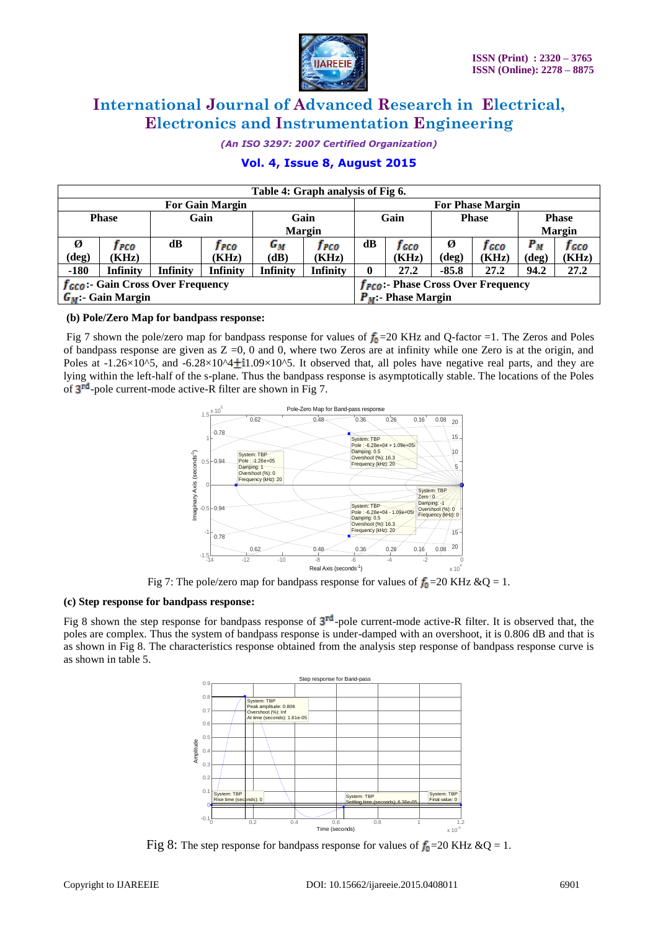

*(An ISO 3297: 2007 Certified Organization)*

# **Vol. 4, Issue 8, August 2015**

| Table 4: Graph analysis of Fig 6.             |                 |                 |                 |                                    |                                                      |               |              |                |       |                |       |
|-----------------------------------------------|-----------------|-----------------|-----------------|------------------------------------|------------------------------------------------------|---------------|--------------|----------------|-------|----------------|-------|
| <b>For Gain Margin</b>                        |                 |                 |                 |                                    | <b>For Phase Margin</b>                              |               |              |                |       |                |       |
| Gain<br><b>Phase</b><br>Gain                  |                 |                 |                 |                                    | Gain<br><b>Phase</b>                                 |               | <b>Phase</b> |                |       |                |       |
|                                               |                 |                 |                 | <b>Margin</b>                      |                                                      |               |              |                |       | <b>Margin</b>  |       |
| Ø                                             | I PCO           | dB              | Т РСО           | G <sub>М</sub>                     | J PCO                                                | $\mathbf{dB}$ | f cco        | Ø              | f cco | $P_M$          | I cco |
| (deg)                                         | (KHz)           |                 | (KHz)           | (dB)                               | (KHz)                                                |               | (KHz)        | $(\text{deg})$ | (KHz) | $(\text{deg})$ | (KHz) |
| $-180$                                        | <b>Infinity</b> | <b>Infinity</b> | <b>Infinity</b> | <b>Infinity</b><br><b>Infinity</b> |                                                      | 0             | 27.2         | $-85.8$        | 27.2  | 94.2           | 27.2  |
| $f_{\text{GCO}}$ :- Gain Cross Over Frequency |                 |                 |                 |                                    | <b>f<sub>PCO</sub>:</b> - Phase Cross Over Frequency |               |              |                |       |                |       |
| $G_M$ :- Gain Margin                          |                 |                 |                 |                                    | $P_M$ :- Phase Margin                                |               |              |                |       |                |       |

### **(b) Pole/Zero Map for bandpass response:**

Fig 7 shown the pole/zero map for bandpass response for values of  $f_0$ =20 KHz and Q-factor =1. The Zeros and Poles of bandpass response are given as  $Z = 0$ , 0 and 0, where two Zeros are at infinity while one Zero is at the origin, and Poles at  $-1.26\times10^{6}$ , and  $-6.28\times10^{6}4\pm11.09\times10^{6}$ . It observed that, all poles have negative real parts, and they are lying within the left-half of the s-plane. Thus the bandpass response is asymptotically stable. The locations of the Poles of  $3<sup>rd</sup>$ -pole current-mode active-R filter are shown in Fig 7.



Fig 7: The pole/zero map for bandpass response for values of  $f_0 = 20$  KHz &Q = 1.

### **(c) Step response for bandpass response:**

Fig 8 shown the step response for bandpass response of  $3<sup>rd</sup>$ -pole current-mode active-R filter. It is observed that, the poles are complex. Thus the system of bandpass response is under-damped with an overshoot, it is 0.806 dB and that is as shown in Fig 8. The characteristics response obtained from the analysis step response of bandpass response curve is as shown in table 5.



Fig 8: The step response for bandpass response for values of  $f_0 = 20$  KHz &Q = 1.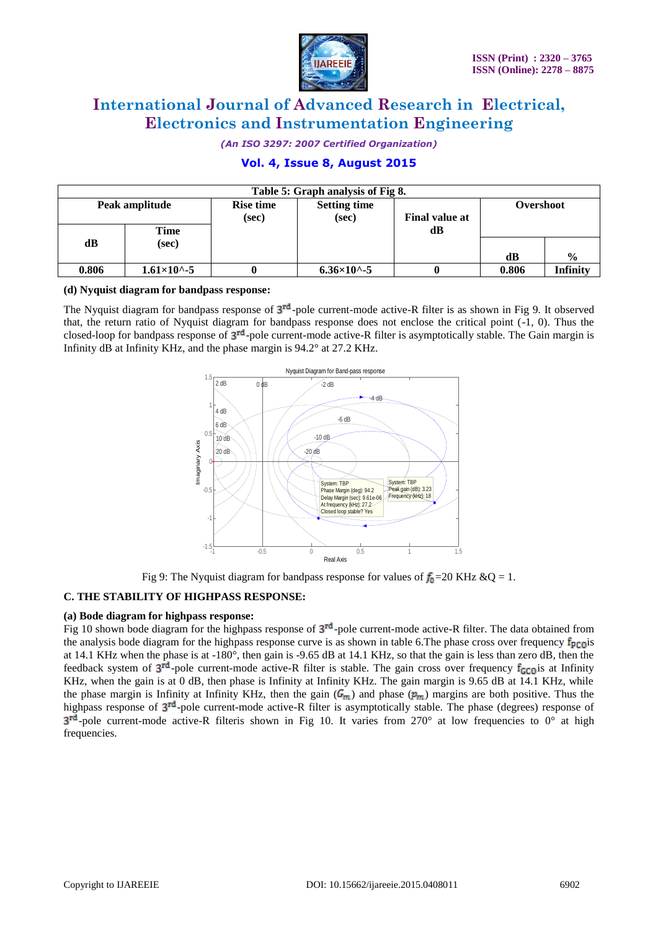

*(An ISO 3297: 2007 Certified Organization)*

# **Vol. 4, Issue 8, August 2015**

| Table 5: Graph analysis of Fig 8. |                      |                                                                                    |                        |           |       |                 |  |  |  |
|-----------------------------------|----------------------|------------------------------------------------------------------------------------|------------------------|-----------|-------|-----------------|--|--|--|
| Peak amplitude                    |                      | <b>Rise time</b><br><b>Setting time</b><br><b>Final value at</b><br>(sec)<br>(sec) |                        | Overshoot |       |                 |  |  |  |
| dВ                                | Time<br>(sec)        |                                                                                    |                        | dВ        |       |                 |  |  |  |
|                                   |                      |                                                                                    |                        |           | dB    | $\frac{6}{6}$   |  |  |  |
| 0.806                             | $1.61\times10^{(-)}$ |                                                                                    | $6.36\times10^{6} - 5$ |           | 0.806 | <b>Infinity</b> |  |  |  |

### **(d) Nyquist diagram for bandpass response:**

The Nyquist diagram for bandpass response of  $3^{rd}$ -pole current-mode active-R filter is as shown in Fig 9. It observed that, the return ratio of Nyquist diagram for bandpass response does not enclose the critical point (-1, 0). Thus the closed-loop for bandpass response of  $3<sup>rd</sup>$ -pole current-mode active-R filter is asymptotically stable. The Gain margin is Infinity dB at Infinity KHz, and the phase margin is 94.2° at 27.2 KHz.



Fig 9: The Nyquist diagram for bandpass response for values of  $f_0 = 20$  KHz &Q = 1.

### **C. THE STABILITY OF HIGHPASS RESPONSE:**

### **(a) Bode diagram for highpass response:**

Fig 10 shown bode diagram for the highpass response of  $3^{rd}$ -pole current-mode active-R filter. The data obtained from the analysis bode diagram for the highpass response curve is as shown in table 6.The phase cross over frequency  $f_{p}$ <sub>co</sub> is at 14.1 KHz when the phase is at -180°, then gain is -9.65 dB at 14.1 KHz, so that the gain is less than zero dB, then the feedback system of  $3^{rd}$ -pole current-mode active-R filter is stable. The gain cross over frequency  $f_{GCO}$  is at Infinity KHz, when the gain is at 0 dB, then phase is Infinity at Infinity KHz. The gain margin is 9.65 dB at 14.1 KHz, while the phase margin is Infinity at Infinity KHz, then the gain  $(G_m)$  and phase  $(p_m)$  margins are both positive. Thus the highpass response of  $3^{rd}$ -pole current-mode active-R filter is asymptotically stable. The phase (degrees) response of  $3<sup>rd</sup>$ -pole current-mode active-R filteris shown in Fig 10. It varies from 270° at low frequencies to 0° at high frequencies.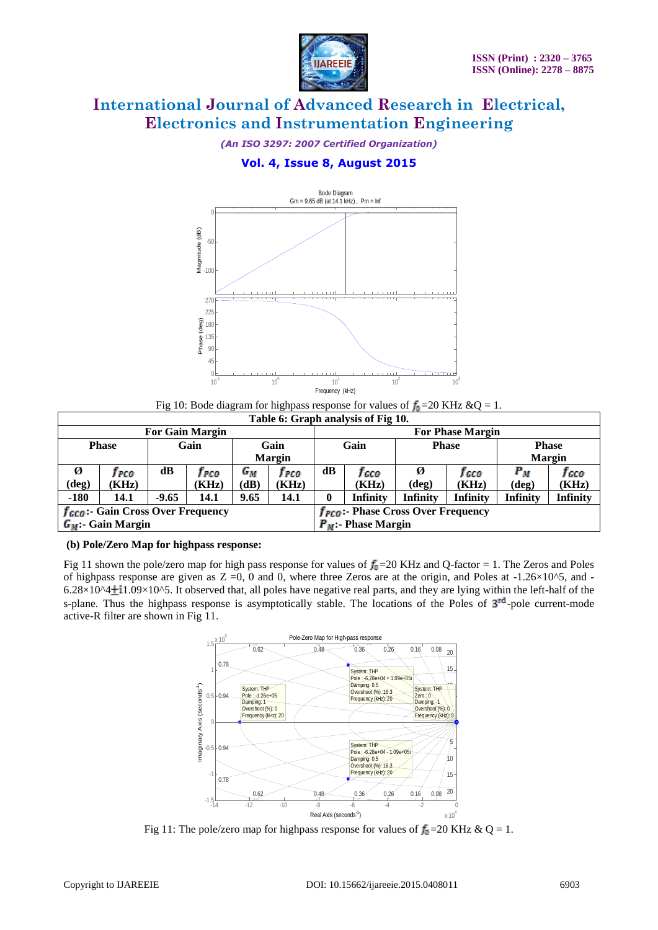

*(An ISO 3297: 2007 Certified Organization)*

# **Vol. 4, Issue 8, August 2015**



Fig 10: Bode diagram for highpass response for values of  $f_0 = 20$  KHz &Q = 1. **Table 6: Graph analysis of Fig 10.**

|                |                                                                     |         | ∑ -100¦                                                  |                                |                       |                                    |                                                            |                                                                                                                                                                                                                                                                                                                                                                                                                                                                                                                              |                         |                 |                               |
|----------------|---------------------------------------------------------------------|---------|----------------------------------------------------------|--------------------------------|-----------------------|------------------------------------|------------------------------------------------------------|------------------------------------------------------------------------------------------------------------------------------------------------------------------------------------------------------------------------------------------------------------------------------------------------------------------------------------------------------------------------------------------------------------------------------------------------------------------------------------------------------------------------------|-------------------------|-----------------|-------------------------------|
|                |                                                                     |         | 270                                                      |                                |                       |                                    |                                                            |                                                                                                                                                                                                                                                                                                                                                                                                                                                                                                                              |                         |                 |                               |
|                |                                                                     |         | 225                                                      |                                |                       |                                    |                                                            |                                                                                                                                                                                                                                                                                                                                                                                                                                                                                                                              |                         |                 |                               |
|                |                                                                     |         | Phase (deg)<br>180                                       |                                |                       |                                    |                                                            |                                                                                                                                                                                                                                                                                                                                                                                                                                                                                                                              |                         |                 |                               |
|                |                                                                     |         | 135<br>90 <sub>°</sub>                                   |                                |                       |                                    |                                                            |                                                                                                                                                                                                                                                                                                                                                                                                                                                                                                                              |                         |                 |                               |
|                |                                                                     |         | 45                                                       |                                |                       |                                    |                                                            |                                                                                                                                                                                                                                                                                                                                                                                                                                                                                                                              |                         |                 |                               |
|                |                                                                     |         | 0                                                        |                                |                       |                                    |                                                            |                                                                                                                                                                                                                                                                                                                                                                                                                                                                                                                              |                         |                 |                               |
|                |                                                                     |         | $10^{-1}$                                                |                                | 10 <sup>0</sup>       | 10 <sup>°</sup><br>Frequency (kHz) |                                                            | $10^2$                                                                                                                                                                                                                                                                                                                                                                                                                                                                                                                       | 10 <sup>°</sup>         |                 |                               |
|                |                                                                     |         |                                                          |                                |                       |                                    |                                                            | Fig 10: Bode diagram for highpass response for values of $f_0$ = 20 KHz & Q = 1.                                                                                                                                                                                                                                                                                                                                                                                                                                             |                         |                 |                               |
|                |                                                                     |         |                                                          |                                |                       |                                    | Table 6: Graph analysis of Fig 10.                         |                                                                                                                                                                                                                                                                                                                                                                                                                                                                                                                              |                         |                 |                               |
|                |                                                                     |         | <b>For Gain Margin</b>                                   |                                |                       |                                    |                                                            |                                                                                                                                                                                                                                                                                                                                                                                                                                                                                                                              | <b>For Phase Margin</b> |                 |                               |
|                | <b>Phase</b>                                                        |         | Gain                                                     |                                | Gain<br><b>Margin</b> |                                    | Gain                                                       |                                                                                                                                                                                                                                                                                                                                                                                                                                                                                                                              | <b>Phase</b>            |                 | <b>Phase</b><br><b>Margin</b> |
| Ø              | frco                                                                | dB      | frco                                                     | $G_M$                          | frco                  | dB                                 | fcco                                                       | Ø                                                                                                                                                                                                                                                                                                                                                                                                                                                                                                                            | fcco                    | $P_M$           | fcco                          |
| $(\text{deg})$ | (KHz)                                                               |         | (KHz)                                                    | (dB)                           | (KHz)                 |                                    | (KHz)                                                      | $(\text{deg})$                                                                                                                                                                                                                                                                                                                                                                                                                                                                                                               | (KHz)                   | (deg)           | (KHz)                         |
| $-180$         | 14.1                                                                | $-9.65$ | 14.1                                                     | 9.65                           | 14.1                  | $\bf{0}$                           | Infinity                                                   | Infinity                                                                                                                                                                                                                                                                                                                                                                                                                                                                                                                     | <b>Infinity</b>         | <b>Infinity</b> | Infinity                      |
|                | f <sub>GCO</sub> : Gain Cross Over Frequency<br>$G_M$ : Gain Margin |         |                                                          |                                |                       |                                    | $P_M$ : Phase Margin                                       | <b>f<sub>PCO</sub></b> : Phase Cross Over Frequency                                                                                                                                                                                                                                                                                                                                                                                                                                                                          |                         |                 |                               |
|                | (b) Pole/Zero Map for highpass response:                            |         |                                                          |                                |                       |                                    |                                                            |                                                                                                                                                                                                                                                                                                                                                                                                                                                                                                                              |                         |                 |                               |
|                |                                                                     |         |                                                          |                                |                       |                                    |                                                            |                                                                                                                                                                                                                                                                                                                                                                                                                                                                                                                              |                         |                 |                               |
|                | active-R filter are shown in Fig 11.                                |         |                                                          |                                |                       |                                    |                                                            | Fig 11 shown the pole/zero map for high pass response for values of $f_0$ =20 KHz and Q-factor = 1. The Zeros and Poles<br>of highpass response are given as $Z = 0$ , 0 and 0, where three Zeros are at the origin, and Poles at -1.26×10^5, and -<br>$6.28\times10^{4}$ +1.09×10^5. It observed that, all poles have negative real parts, and they are lying within the left-half of the<br>s-plane. Thus the highpass response is asymptotically stable. The locations of the Poles of 3 <sup>rd</sup> -pole current-mode |                         |                 |                               |
|                |                                                                     |         |                                                          |                                |                       |                                    |                                                            |                                                                                                                                                                                                                                                                                                                                                                                                                                                                                                                              |                         |                 |                               |
|                |                                                                     |         | x 10 <sup>3</sup><br>1.5                                 | 0.62                           |                       | 0.48                               | Pole-Zero Map for High-pass response<br>0.36<br>0.26       | 0.16<br>0.08                                                                                                                                                                                                                                                                                                                                                                                                                                                                                                                 |                         |                 |                               |
|                |                                                                     |         | 0.78                                                     |                                |                       |                                    |                                                            |                                                                                                                                                                                                                                                                                                                                                                                                                                                                                                                              | 20                      |                 |                               |
|                |                                                                     |         |                                                          |                                |                       |                                    | System: THP<br>Pole: -6.28e+04 + 1.09e+05i                 |                                                                                                                                                                                                                                                                                                                                                                                                                                                                                                                              | 15 <sub>15</sub>        |                 |                               |
|                |                                                                     |         | $-0.94$                                                  | System: THP<br>Pole: -1.26e+05 |                       |                                    | Damping: 0.5<br>Overshoot (%): 16.3                        | System: THP<br>Zero: 0                                                                                                                                                                                                                                                                                                                                                                                                                                                                                                       |                         |                 |                               |
|                |                                                                     |         |                                                          | Damping: 1<br>Overshoot (%): 0 |                       |                                    | Frequency (kHz): 20                                        | Damping: -1<br>Overshoot (%): 0                                                                                                                                                                                                                                                                                                                                                                                                                                                                                              |                         |                 |                               |
|                |                                                                     |         |                                                          | Frequency (kHz): 20            |                       |                                    |                                                            | Frequency (kHz): 0                                                                                                                                                                                                                                                                                                                                                                                                                                                                                                           |                         |                 |                               |
|                |                                                                     |         |                                                          |                                |                       |                                    |                                                            |                                                                                                                                                                                                                                                                                                                                                                                                                                                                                                                              |                         |                 |                               |
|                |                                                                     |         | Imaginary Axis (seconds <sup>-1</sup> )<br>$-0.5 - 0.94$ |                                |                       |                                    | System: THP<br>Pole: -6.28e+04 - 1.09e+05i<br>Damping: 0.5 |                                                                                                                                                                                                                                                                                                                                                                                                                                                                                                                              | 5<br>/10                |                 |                               |
|                |                                                                     |         | 0.78                                                     |                                |                       |                                    | Overshoot (%): 16.3<br>Frequency (kHz): 20                 |                                                                                                                                                                                                                                                                                                                                                                                                                                                                                                                              | 15 <sup>°</sup>         |                 |                               |
|                |                                                                     |         |                                                          | 0.62                           |                       | 0.48                               | 0.36<br>0.26                                               | 0.08<br>0.16                                                                                                                                                                                                                                                                                                                                                                                                                                                                                                                 | 20                      |                 |                               |
|                |                                                                     |         | $-1.5$ $-1.4$                                            | $-12$                          | $-10$                 | -8                                 | $-6$<br>$-4$                                               | $-2$                                                                                                                                                                                                                                                                                                                                                                                                                                                                                                                         |                         |                 |                               |
|                |                                                                     |         |                                                          |                                |                       | Real Axis (seconds <sup>-1</sup> ) |                                                            |                                                                                                                                                                                                                                                                                                                                                                                                                                                                                                                              | x <sub>10</sub>         |                 |                               |
|                |                                                                     |         |                                                          |                                |                       |                                    |                                                            | Fig 11: The pole/zero map for highpass response for values of $f_0$ =20 KHz & Q = 1.                                                                                                                                                                                                                                                                                                                                                                                                                                         |                         |                 |                               |
|                |                                                                     |         |                                                          |                                |                       |                                    |                                                            |                                                                                                                                                                                                                                                                                                                                                                                                                                                                                                                              |                         |                 |                               |
|                | Copyright to IJAREEIE                                               |         |                                                          |                                |                       |                                    |                                                            | DOI: 10.15662/ijareeie.2015.0408011                                                                                                                                                                                                                                                                                                                                                                                                                                                                                          |                         |                 | 6903                          |

# **(b) Pole/Zero Map for highpass response:**



Fig 11: The pole/zero map for highpass response for values of  $f_0 = 20$  KHz & Q = 1.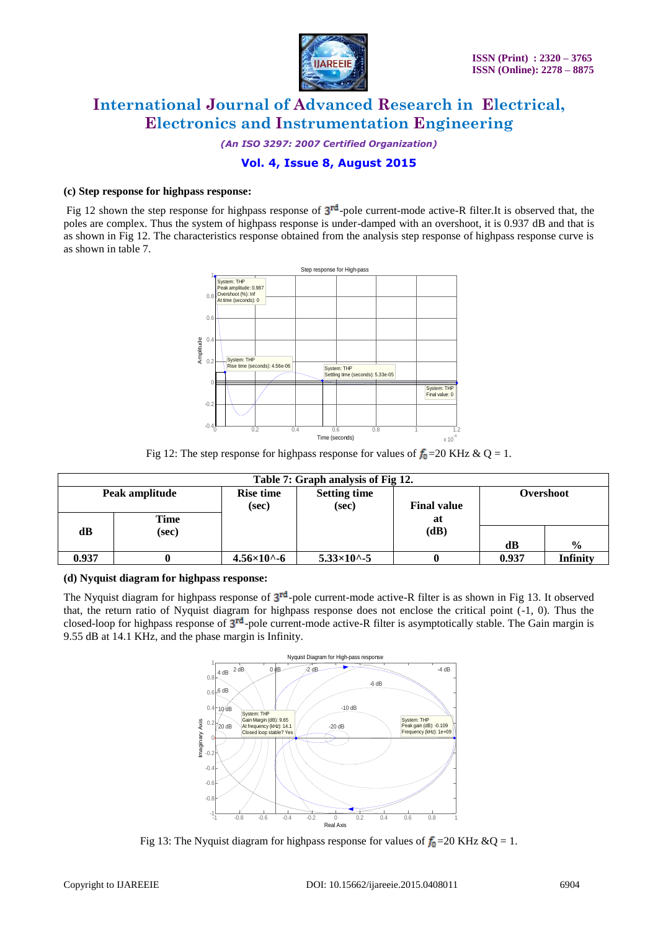

*(An ISO 3297: 2007 Certified Organization)*

# **Vol. 4, Issue 8, August 2015**

### **(c) Step response for highpass response:**

Fig 12 shown the step response for highpass response of  $3<sup>rd</sup>$ -pole current-mode active-R filter.It is observed that, the poles are complex. Thus the system of highpass response is under-damped with an overshoot, it is 0.937 dB and that is as shown in Fig 12. The characteristics response obtained from the analysis step response of highpass response curve is as shown in table 7.



Fig 12: The step response for highpass response for values of  $f_0 = 20$  KHz & Q = 1.

| Table 7: Graph analysis of Fig 12. |       |                           |                              |                    |           |               |  |  |  |
|------------------------------------|-------|---------------------------|------------------------------|--------------------|-----------|---------------|--|--|--|
| Peak amplitude                     |       | <b>Rise time</b><br>(sec) | <b>Setting time</b><br>(sec) | <b>Final value</b> | Overshoot |               |  |  |  |
|                                    | Time  |                           |                              | at                 |           |               |  |  |  |
| dB                                 | (sec) |                           |                              | (dB)               |           |               |  |  |  |
|                                    |       |                           |                              |                    | dB        | $\frac{0}{0}$ |  |  |  |
| 0.937                              |       | $4.56\times10^{6} - 6$    | $5.33 \times 10^{6} - 5$     |                    | 0.937     | Infinity      |  |  |  |

### **(d) Nyquist diagram for highpass response:**

The Nyquist diagram for highpass response of  $3^{rd}$ -pole current-mode active-R filter is as shown in Fig 13. It observed that, the return ratio of Nyquist diagram for highpass response does not enclose the critical point (-1, 0). Thus the closed-loop for highpass response of  $3<sup>rd</sup>$ -pole current-mode active-R filter is asymptotically stable. The Gain margin is 9.55 dB at 14.1 KHz, and the phase margin is Infinity.



Fig 13: The Nyquist diagram for highpass response for values of  $f_0 = 20$  KHz &Q = 1.